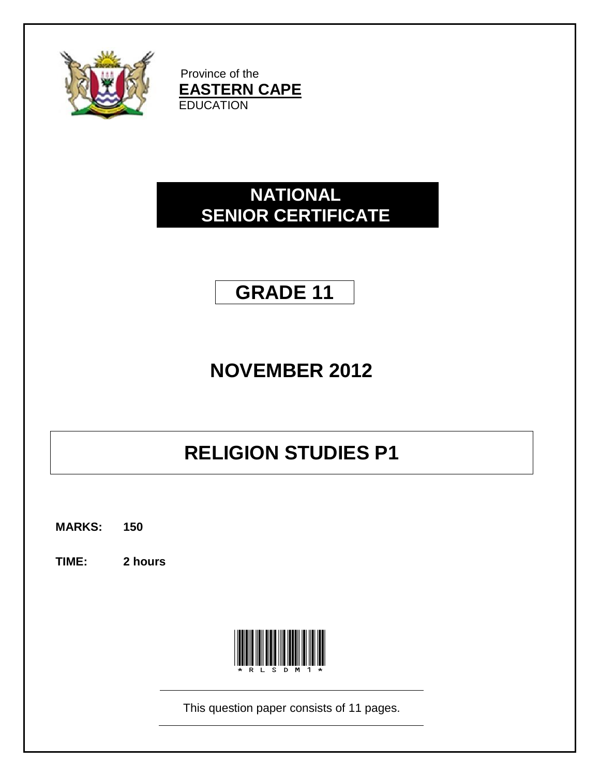

Province of the **EASTERN CAPE EDUCATION** 

## **NATIONAL SENIOR CERTIFICATE**

# **GRADE 11**

# **NOVEMBER 2012**

# **RELIGION STUDIES P1**

**MARKS: 150**

**TIME: 2 hours**



This question paper consists of 11 pages.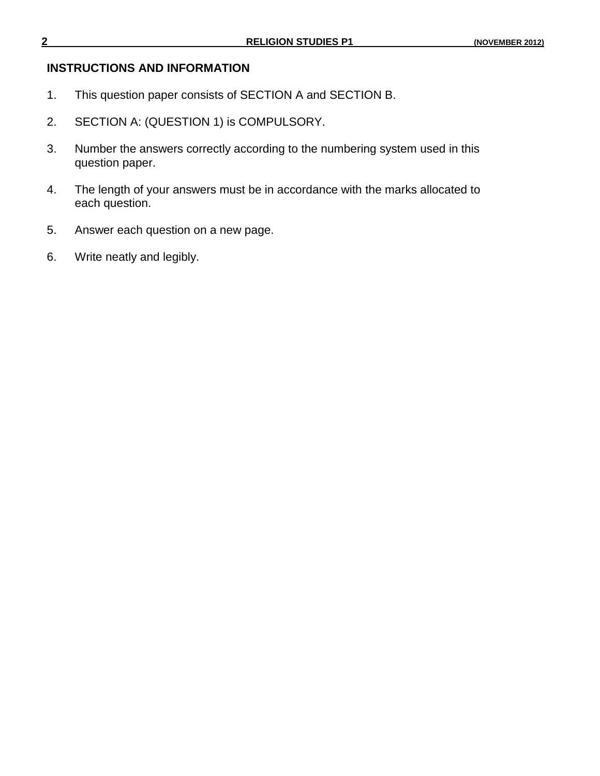### **INSTRUCTIONS AND INFORMATION**

- 1. This question paper consists of SECTION A and SECTION B.
- 2. SECTION A: (QUESTION 1) is COMPULSORY.
- 3. Number the answers correctly according to the numbering system used in this question paper.
- 4. The length of your answers must be in accordance with the marks allocated to each question.
- 5. Answer each question on a new page.
- 6. Write neatly and legibly.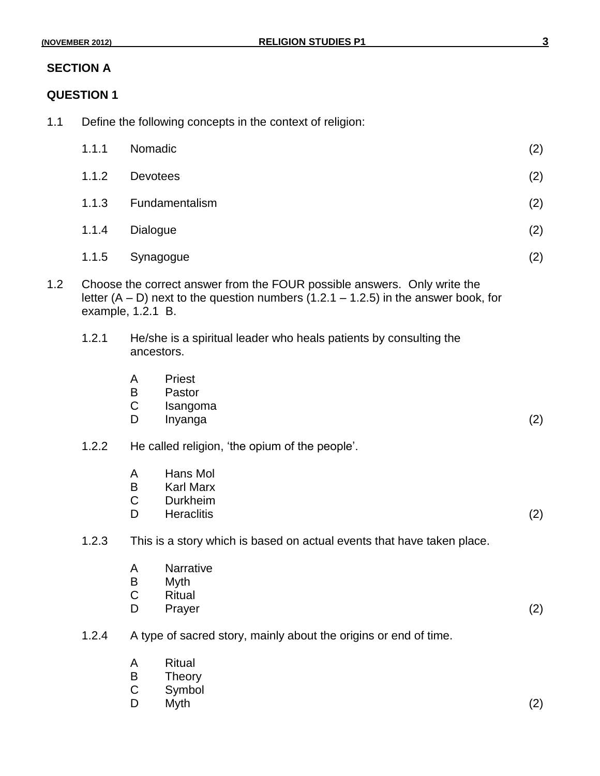## **SECTION A**

## **QUESTION 1**

1.1 Define the following concepts in the context of religion:

|     | 1.1.1 | Nomadic                                                                                                                                                                                  | (2) |
|-----|-------|------------------------------------------------------------------------------------------------------------------------------------------------------------------------------------------|-----|
|     | 1.1.2 | <b>Devotees</b>                                                                                                                                                                          | (2) |
|     | 1.1.3 | Fundamentalism                                                                                                                                                                           | (2) |
|     | 1.1.4 | Dialogue                                                                                                                                                                                 | (2) |
|     | 1.1.5 | Synagogue                                                                                                                                                                                | (2) |
| 1.2 |       | Choose the correct answer from the FOUR possible answers. Only write the<br>letter $(A - D)$ next to the question numbers $(1.2.1 - 1.2.5)$ in the answer book, for<br>example, 1.2.1 B. |     |
|     | 1.2.1 | He/she is a spiritual leader who heals patients by consulting the<br>ancestors.                                                                                                          |     |
|     |       | Priest<br>A<br>B<br>Pastor<br>$\mathsf C$<br>Isangoma<br>D<br>Inyanga                                                                                                                    | (2) |
|     | 1.2.2 | He called religion, 'the opium of the people'.                                                                                                                                           |     |
|     |       | Hans Mol<br>A<br>B<br><b>Karl Marx</b><br>$\mathsf C$<br><b>Durkheim</b><br>D<br><b>Heraclitis</b>                                                                                       | (2) |
|     | 1.2.3 | This is a story which is based on actual events that have taken place.                                                                                                                   |     |
|     |       | Narrative<br>A<br>B<br>Myth<br>$\mathsf C$<br><b>Ritual</b><br>D<br>Prayer                                                                                                               | (2) |
|     | 1.2.4 | A type of sacred story, mainly about the origins or end of time.                                                                                                                         |     |
|     |       | <b>Ritual</b><br>A<br>$\sf B$<br>Theory<br>$\mathsf C$<br>Symbol<br>D<br>Myth                                                                                                            | (2) |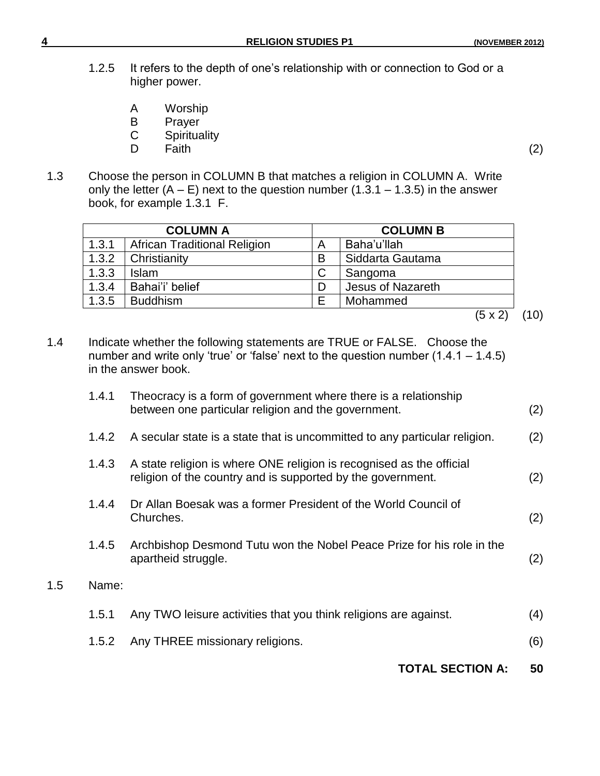- 1.2.5 It refers to the depth of one"s relationship with or connection to God or a higher power.
	- A Worship<br>B Praver
	- B Prayer<br>C Spiritua
	- Spirituality<br>Faith
	- D Faith (2)
- 1.3 Choose the person in COLUMN B that matches a religion in COLUMN A. Write only the letter  $(A - E)$  next to the question number  $(1.3.1 - 1.3.5)$  in the answer book, for example 1.3.1 F.

| <b>COLUMN A</b> |                                     |   | <b>COLUMN B</b>   |
|-----------------|-------------------------------------|---|-------------------|
| 1.3.1           | <b>African Traditional Religion</b> |   | Baha'u'llah       |
| 1.3.2           | Christianity                        | B | Siddarta Gautama  |
| 1.3.3           | <b>Islam</b>                        |   | Sangoma           |
| 1.3.4           | Bahai'i' belief                     |   | Jesus of Nazareth |
| 1.3.5           | <b>Buddhism</b>                     |   | Mohammed          |

$$
\overline{(5 \times 2)} \quad (10)
$$

1.4 Indicate whether the following statements are TRUE or FALSE. Choose the number and write only 'true' or 'false' next to the question number  $(1.4.1 - 1.4.5)$ in the answer book.

|       | <b>TOTAL SECTION A:</b>                                                                                                             | 50  |
|-------|-------------------------------------------------------------------------------------------------------------------------------------|-----|
| 1.5.2 | Any THREE missionary religions.                                                                                                     | (6) |
| 1.5.1 | Any TWO leisure activities that you think religions are against.                                                                    | (4) |
| Name: |                                                                                                                                     |     |
| 1.4.5 | Archbishop Desmond Tutu won the Nobel Peace Prize for his role in the<br>apartheid struggle.                                        | (2) |
| 1.4.4 | Dr Allan Boesak was a former President of the World Council of<br>Churches.                                                         | (2) |
| 1.4.3 | A state religion is where ONE religion is recognised as the official<br>religion of the country and is supported by the government. | (2) |
| 1.4.2 | A secular state is a state that is uncommitted to any particular religion.                                                          | (2) |
| 1.4.1 | Theocracy is a form of government where there is a relationship<br>between one particular religion and the government.              | (2) |

 $1.5$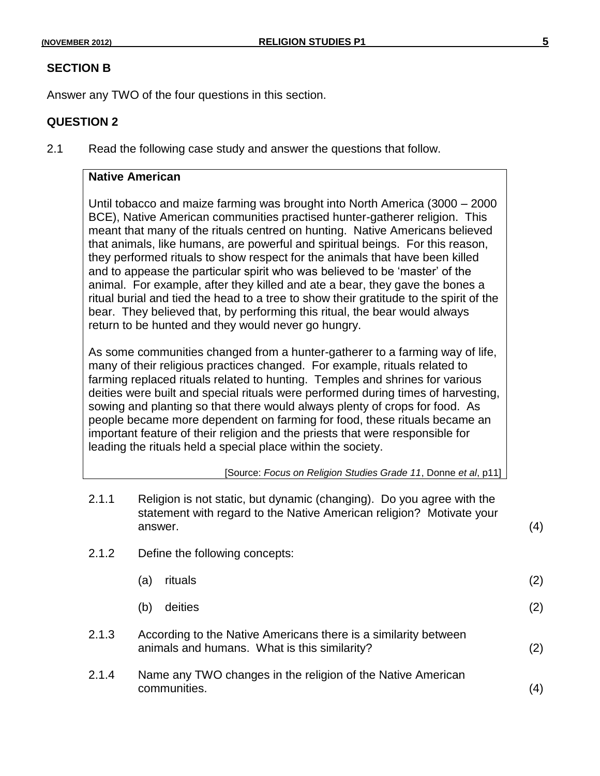#### **SECTION B**

Answer any TWO of the four questions in this section.

#### **QUESTION 2**

2.1 Read the following case study and answer the questions that follow.

### **Native American**

Until tobacco and maize farming was brought into North America (3000 – 2000 BCE), Native American communities practised hunter-gatherer religion. This meant that many of the rituals centred on hunting. Native Americans believed that animals, like humans, are powerful and spiritual beings. For this reason, they performed rituals to show respect for the animals that have been killed and to appease the particular spirit who was believed to be "master" of the animal. For example, after they killed and ate a bear, they gave the bones a ritual burial and tied the head to a tree to show their gratitude to the spirit of the bear. They believed that, by performing this ritual, the bear would always return to be hunted and they would never go hungry.

As some communities changed from a hunter-gatherer to a farming way of life, many of their religious practices changed. For example, rituals related to farming replaced rituals related to hunting. Temples and shrines for various deities were built and special rituals were performed during times of harvesting, sowing and planting so that there would always plenty of crops for food. As people became more dependent on farming for food, these rituals became an important feature of their religion and the priests that were responsible for leading the rituals held a special place within the society.

| [Source: Focus on Religion Studies Grade 11, Donne et al, p11] |  |
|----------------------------------------------------------------|--|
|                                                                |  |

| 2.1.1 | Religion is not static, but dynamic (changing). Do you agree with the<br>statement with regard to the Native American religion? Motivate your<br>answer. | (4) |
|-------|----------------------------------------------------------------------------------------------------------------------------------------------------------|-----|
| 2.1.2 | Define the following concepts:                                                                                                                           |     |
|       | rituals<br>(a)                                                                                                                                           | (2) |
|       | deities<br>(b)                                                                                                                                           | (2) |
| 2.1.3 | According to the Native Americans there is a similarity between<br>animals and humans. What is this similarity?                                          | (2) |
| 2.1.4 | Name any TWO changes in the religion of the Native American<br>communities.                                                                              | (4) |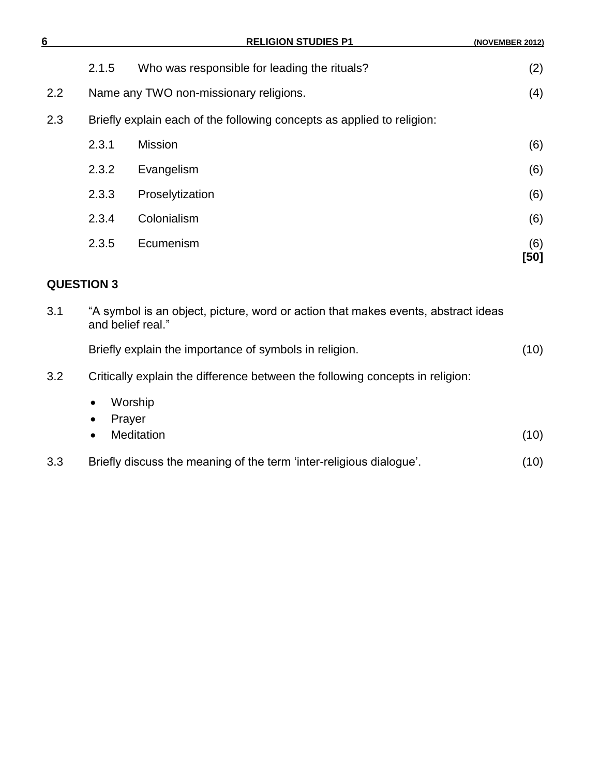| 6   |       | <b>RELIGION STUDIES P1</b>                                             | (NOVEMBER 2012) |
|-----|-------|------------------------------------------------------------------------|-----------------|
|     | 2.1.5 | Who was responsible for leading the rituals?                           | (2)             |
| 2.2 |       | Name any TWO non-missionary religions.                                 | (4)             |
| 2.3 |       | Briefly explain each of the following concepts as applied to religion: |                 |
|     | 2.3.1 | <b>Mission</b>                                                         | (6)             |
|     | 2.3.2 | Evangelism                                                             | (6)             |
|     | 2.3.3 | Proselytization                                                        | (6)             |
|     | 2.3.4 | Colonialism                                                            | (6)             |
|     | 2.3.5 | Ecumenism                                                              | (6)<br>[50]     |

## **QUESTION 3**

| 3.1 | "A symbol is an object, picture, word or action that makes events, abstract ideas<br>and belief real." |      |
|-----|--------------------------------------------------------------------------------------------------------|------|
|     | Briefly explain the importance of symbols in religion.                                                 | (10) |
| 3.2 | Critically explain the difference between the following concepts in religion:                          |      |
|     | Worship<br>$\bullet$<br>Prayer<br>$\bullet$<br><b>Meditation</b><br>$\bullet$                          | (10) |
| 3.3 | Briefly discuss the meaning of the term 'inter-religious dialogue'.                                    | (10) |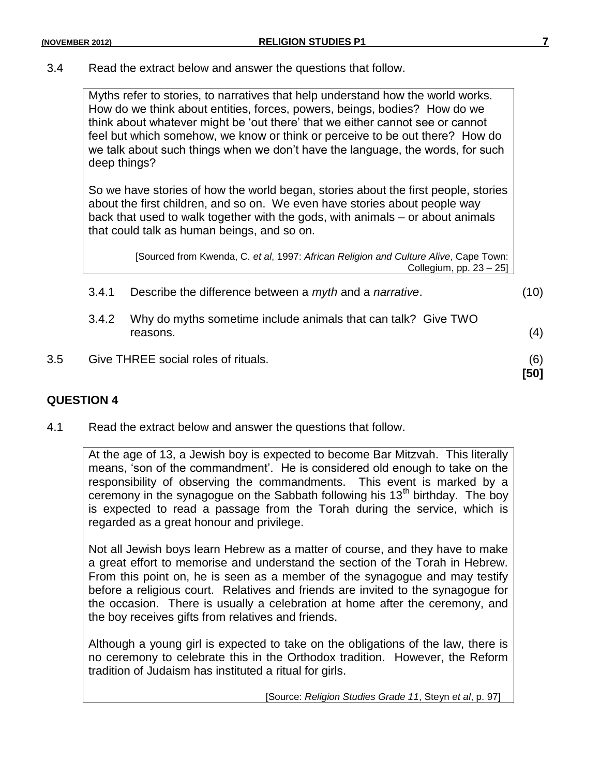3.4 Read the extract below and answer the questions that follow.

Myths refer to stories, to narratives that help understand how the world works. How do we think about entities, forces, powers, beings, bodies? How do we think about whatever might be "out there" that we either cannot see or cannot feel but which somehow, we know or think or perceive to be out there? How do we talk about such things when we don"t have the language, the words, for such deep things?

So we have stories of how the world began, stories about the first people, stories about the first children, and so on. We even have stories about people way back that used to walk together with the gods, with animals – or about animals that could talk as human beings, and so on.

[Sourced from Kwenda, C. *et al*, 1997: *African Religion and Culture Alive*, Cape Town: Collegium, pp. 23 – 25]

| 3.5 |       | Give THREE social roles of rituals.                                       | (6)<br>[50] |
|-----|-------|---------------------------------------------------------------------------|-------------|
|     | 3.4.2 | Why do myths sometime include animals that can talk? Give TWO<br>reasons. | (4)         |
|     | 3.4.1 | Describe the difference between a <i>myth</i> and a <i>narrative</i> .    | (10)        |

#### **QUESTION 4**

4.1 Read the extract below and answer the questions that follow.

At the age of 13, a Jewish boy is expected to become Bar Mitzvah. This literally means, "son of the commandment". He is considered old enough to take on the responsibility of observing the commandments. This event is marked by a ceremony in the synagogue on the Sabbath following his  $13<sup>th</sup>$  birthday. The boy is expected to read a passage from the Torah during the service, which is regarded as a great honour and privilege.

Not all Jewish boys learn Hebrew as a matter of course, and they have to make a great effort to memorise and understand the section of the Torah in Hebrew. From this point on, he is seen as a member of the synagogue and may testify before a religious court. Relatives and friends are invited to the synagogue for the occasion. There is usually a celebration at home after the ceremony, and the boy receives gifts from relatives and friends.

Although a young girl is expected to take on the obligations of the law, there is no ceremony to celebrate this in the Orthodox tradition. However, the Reform tradition of Judaism has instituted a ritual for girls.

[Source: *Religion Studies Grade 11*, Steyn *et al*, p. 97]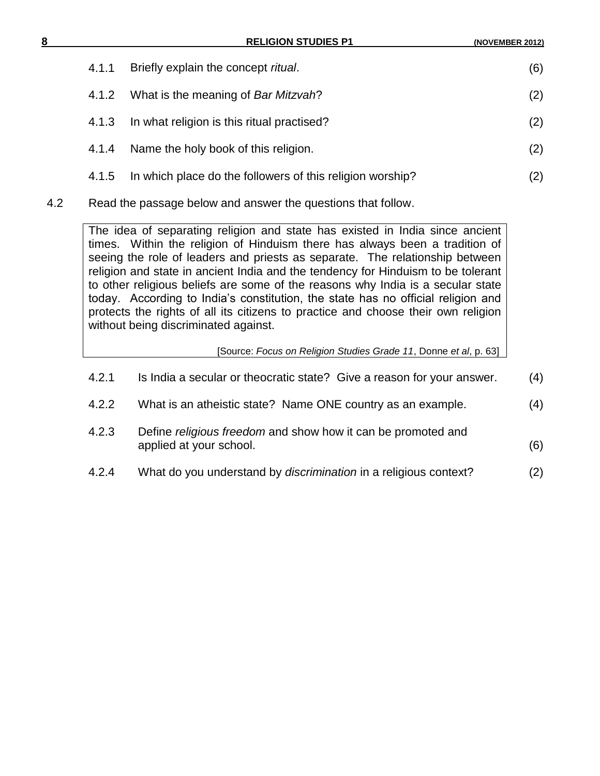| 8 |       | <b>RELIGION STUDIES P1</b>                                | (NOVEMBER 2012) |
|---|-------|-----------------------------------------------------------|-----------------|
|   | 4.1.1 | Briefly explain the concept ritual.                       | (6)             |
|   | 4.1.2 | What is the meaning of Bar Mitzvah?                       | (2)             |
|   | 4.1.3 | In what religion is this ritual practised?                | (2)             |
|   | 4.1.4 | Name the holy book of this religion.                      | (2)             |
|   | 4.1.5 | In which place do the followers of this religion worship? | (2)             |

4.2 Read the passage below and answer the questions that follow.

The idea of separating religion and state has existed in India since ancient times. Within the religion of Hinduism there has always been a tradition of seeing the role of leaders and priests as separate. The relationship between religion and state in ancient India and the tendency for Hinduism to be tolerant to other religious beliefs are some of the reasons why India is a secular state today. According to India"s constitution, the state has no official religion and protects the rights of all its citizens to practice and choose their own religion without being discriminated against.

[Source: *Focus on Religion Studies Grade 11*, Donne *et al*, p. 63]

| 4.2.1 | Is India a secular or theocratic state? Give a reason for your answer.                  | (4) |
|-------|-----------------------------------------------------------------------------------------|-----|
| 4.2.2 | What is an atheistic state? Name ONE country as an example.                             | (4) |
| 4.2.3 | Define religious freedom and show how it can be promoted and<br>applied at your school. | (6) |
| 4.2.4 | What do you understand by <i>discrimination</i> in a religious context?                 | (2) |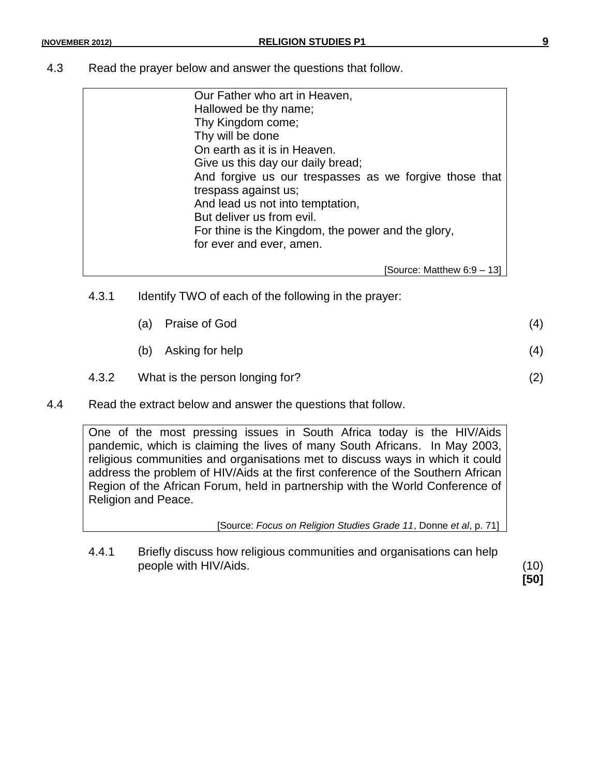4.3 Read the prayer below and answer the questions that follow.

| Our Father who art in Heaven,                          |
|--------------------------------------------------------|
| Hallowed be thy name;                                  |
| Thy Kingdom come;                                      |
| Thy will be done                                       |
| On earth as it is in Heaven.                           |
| Give us this day our daily bread;                      |
| And forgive us our trespasses as we forgive those that |
| trespass against us;                                   |
| And lead us not into temptation,                       |
| But deliver us from evil.                              |
| For thine is the Kingdom, the power and the glory,     |
| for ever and ever, amen.                               |
|                                                        |
| [Source: Matthew 6:9 – 13]                             |

4.3.1 Identify TWO of each of the following in the prayer:

|       | (a) | Praise of God                   | (4) |
|-------|-----|---------------------------------|-----|
|       | (b) | Asking for help                 | (4) |
| 4.3.2 |     | What is the person longing for? |     |

4.4 Read the extract below and answer the questions that follow.

One of the most pressing issues in South Africa today is the HIV/Aids pandemic, which is claiming the lives of many South Africans. In May 2003, religious communities and organisations met to discuss ways in which it could address the problem of HIV/Aids at the first conference of the Southern African Region of the African Forum, held in partnership with the World Conference of Religion and Peace.

[Source: *Focus on Religion Studies Grade 11*, Donne *et al*, p. 71]

4.4.1 Briefly discuss how religious communities and organisations can help people with HIV/Aids. (10)

**[50]**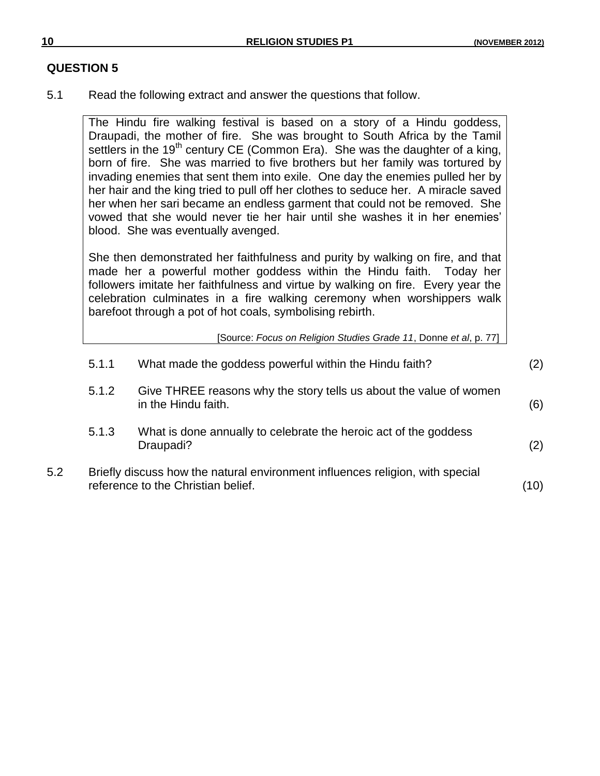### **QUESTION 5**

5.1 Read the following extract and answer the questions that follow.

The Hindu fire walking festival is based on a story of a Hindu goddess, Draupadi, the mother of fire. She was brought to South Africa by the Tamil settlers in the 19<sup>th</sup> century CE (Common Era). She was the daughter of a king, born of fire. She was married to five brothers but her family was tortured by invading enemies that sent them into exile. One day the enemies pulled her by her hair and the king tried to pull off her clothes to seduce her. A miracle saved her when her sari became an endless garment that could not be removed. She vowed that she would never tie her hair until she washes it in her enemies" blood. She was eventually avenged.

She then demonstrated her faithfulness and purity by walking on fire, and that made her a powerful mother goddess within the Hindu faith. Today her followers imitate her faithfulness and virtue by walking on fire. Every year the celebration culminates in a fire walking ceremony when worshippers walk barefoot through a pot of hot coals, symbolising rebirth.

[Source: *Focus on Religion Studies Grade 11*, Donne *et al*, p. 77]

|     | 5.1.1                                                                                                               | What made the goddess powerful within the Hindu faith?                                    | (2) |
|-----|---------------------------------------------------------------------------------------------------------------------|-------------------------------------------------------------------------------------------|-----|
|     | 5.1.2                                                                                                               | Give THREE reasons why the story tells us about the value of women<br>in the Hindu faith. | (6) |
|     | 5.1.3                                                                                                               | What is done annually to celebrate the heroic act of the goddess<br>Draupadi?             | (2) |
| 5.2 | Briefly discuss how the natural environment influences religion, with special<br>reference to the Christian belief. |                                                                                           | (10 |